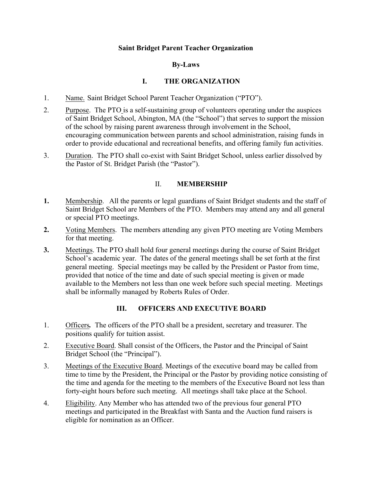### **Saint Bridget Parent Teacher Organization**

### **By-Laws**

## **I. THE ORGANIZATION**

- 1. Name. Saint Bridget School Parent Teacher Organization ("PTO").
- 2. Purpose. The PTO is a self-sustaining group of volunteers operating under the auspices of Saint Bridget School, Abington, MA (the "School") that serves to support the mission of the school by raising parent awareness through involvement in the School, encouraging communication between parents and school administration, raising funds in order to provide educational and recreational benefits, and offering family fun activities.
- 3. Duration. The PTO shall co-exist with Saint Bridget School, unless earlier dissolved by the Pastor of St. Bridget Parish (the "Pastor").

### II. **MEMBERSHIP**

- **1.** Membership. All the parents or legal guardians of Saint Bridget students and the staff of Saint Bridget School are Members of the PTO. Members may attend any and all general or special PTO meetings.
- **2.** Voting Members. The members attending any given PTO meeting are Voting Members for that meeting.
- **3.** Meetings. The PTO shall hold four general meetings during the course of Saint Bridget School's academic year. The dates of the general meetings shall be set forth at the first general meeting. Special meetings may be called by the President or Pastor from time, provided that notice of the time and date of such special meeting is given or made available to the Members not less than one week before such special meeting. Meetings shall be informally managed by Roberts Rules of Order.

## **III. OFFICERS AND EXECUTIVE BOARD**

- 1. Officers*.*The officers of the PTO shall be a president, secretary and treasurer. The positions qualify for tuition assist.
- 2. Executive Board. Shall consist of the Officers, the Pastor and the Principal of Saint Bridget School (the "Principal").
- 3. Meetings of the Executive Board. Meetings of the executive board may be called from time to time by the President, the Principal or the Pastor by providing notice consisting of the time and agenda for the meeting to the members of the Executive Board not less than forty-eight hours before such meeting. All meetings shall take place at the School.
- 4. Eligibility. Any Member who has attended two of the previous four general PTO meetings and participated in the Breakfast with Santa and the Auction fund raisers is eligible for nomination as an Officer.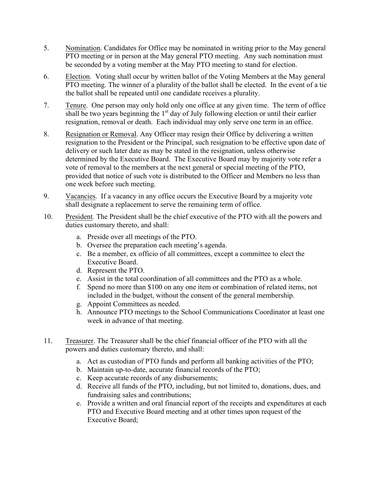- 5. Nomination. Candidates for Office may be nominated in writing prior to the May general PTO meeting or in person at the May general PTO meeting. Any such nomination must be seconded by a voting member at the May PTO meeting to stand for election.
- 6. Election. Voting shall occur by written ballot of the Voting Members at the May general PTO meeting. The winner of a plurality of the ballot shall be elected. In the event of a tie the ballot shall be repeated until one candidate receives a plurality.
- 7. Tenure. One person may only hold only one office at any given time. The term of office  $\overline{\text{shall}}$  be two years beginning the 1<sup>st</sup> day of July following election or until their earlier resignation, removal or death. Each individual may only serve one term in an office.
- 8. Resignation or Removal. Any Officer may resign their Office by delivering a written resignation to the President or the Principal, such resignation to be effective upon date of delivery or such later date as may be stated in the resignation, unless otherwise determined by the Executive Board. The Executive Board may by majority vote refer a vote of removal to the members at the next general or special meeting of the PTO, provided that notice of such vote is distributed to the Officer and Members no less than one week before such meeting.
- 9. Vacancies. If a vacancy in any office occurs the Executive Board by a majority vote shall designate a replacement to serve the remaining term of office.
- 10. President. The President shall be the chief executive of the PTO with all the powers and duties customary thereto, and shall:
	- a. Preside over all meetings of the PTO.
	- b. Oversee the preparation each meeting's agenda.
	- c. Be a member, ex officio of all committees, except a committee to elect the Executive Board.
	- d. Represent the PTO.
	- e. Assist in the total coordination of all committees and the PTO as a whole.
	- f. Spend no more than \$100 on any one item or combination of related items, not included in the budget, without the consent of the general membership.
	- g. Appoint Committees as needed.
	- h. Announce PTO meetings to the School Communications Coordinator at least one week in advance of that meeting.
- 11. Treasurer. The Treasurer shall be the chief financial officer of the PTO with all the powers and duties customary thereto, and shall:
	- a. Act as custodian of PTO funds and perform all banking activities of the PTO;
	- b. Maintain up-to-date, accurate financial records of the PTO;
	- c. Keep accurate records of any disbursements;
	- d. Receive all funds of the PTO, including, but not limited to, donations, dues, and fundraising sales and contributions;
	- e. Provide a written and oral financial report of the receipts and expenditures at each PTO and Executive Board meeting and at other times upon request of the Executive Board;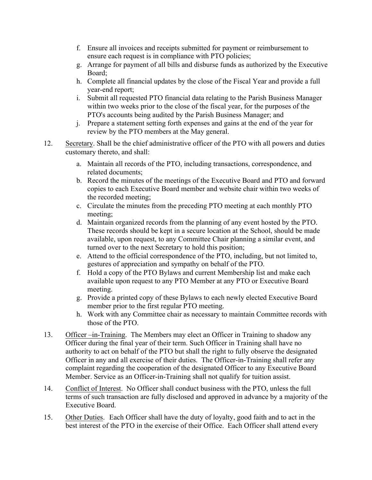- f. Ensure all invoices and receipts submitted for payment or reimbursement to ensure each request is in compliance with PTO policies;
- g. Arrange for payment of all bills and disburse funds as authorized by the Executive Board;
- h. Complete all financial updates by the close of the Fiscal Year and provide a full year-end report;
- i. Submit all requested PTO financial data relating to the Parish Business Manager within two weeks prior to the close of the fiscal year, for the purposes of the PTO's accounts being audited by the Parish Business Manager; and
- j. Prepare a statement setting forth expenses and gains at the end of the year for review by the PTO members at the May general.
- 12. Secretary. Shall be the chief administrative officer of the PTO with all powers and duties customary thereto, and shall:
	- a. Maintain all records of the PTO, including transactions, correspondence, and related documents;
	- b. Record the minutes of the meetings of the Executive Board and PTO and forward copies to each Executive Board member and website chair within two weeks of the recorded meeting;
	- c. Circulate the minutes from the preceding PTO meeting at each monthly PTO meeting;
	- d. Maintain organized records from the planning of any event hosted by the PTO. These records should be kept in a secure location at the School, should be made available, upon request, to any Committee Chair planning a similar event, and turned over to the next Secretary to hold this position;
	- e. Attend to the official correspondence of the PTO, including, but not limited to, gestures of appreciation and sympathy on behalf of the PTO.
	- f. Hold a copy of the PTO Bylaws and current Membership list and make each available upon request to any PTO Member at any PTO or Executive Board meeting.
	- g. Provide a printed copy of these Bylaws to each newly elected Executive Board member prior to the first regular PTO meeting.
	- h. Work with any Committee chair as necessary to maintain Committee records with those of the PTO.
- 13. Officer –in-Training. The Members may elect an Officer in Training to shadow any Officer during the final year of their term. Such Officer in Training shall have no authority to act on behalf of the PTO but shall the right to fully observe the designated Officer in any and all exercise of their duties. The Officer-in-Training shall refer any complaint regarding the cooperation of the designated Officer to any Executive Board Member. Service as an Officer-in-Training shall not qualify for tuition assist.
- 14. Conflict of Interest. No Officer shall conduct business with the PTO, unless the full terms of such transaction are fully disclosed and approved in advance by a majority of the Executive Board.
- 15. Other Duties. Each Officer shall have the duty of loyalty, good faith and to act in the best interest of the PTO in the exercise of their Office. Each Officer shall attend every